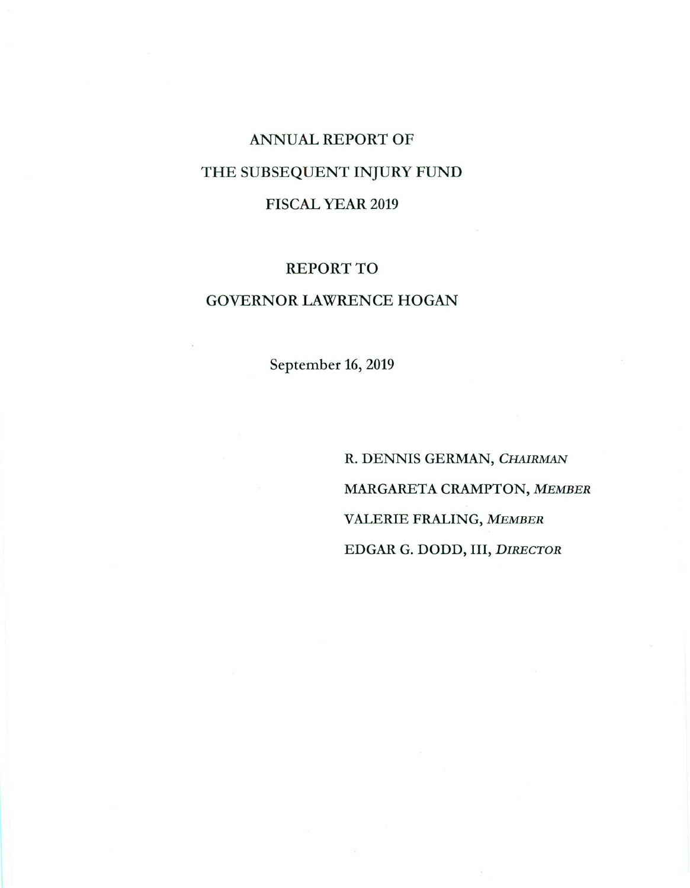# ANNUAL REPORT OF THE SUBSEQUENT INJURY FUND FISCAL YEAR 2019

### REPORT TO

## GOVERNOR LAWRENCE HOGAN

September 16, 2019

R. DENNIS GERMAN, *CHAIRMAN MARGARETACRAMPTON,MEMBER*  VALERIE FRALING, *MEMBER*  EDGAR G. DODD, III, *DIRECTOR*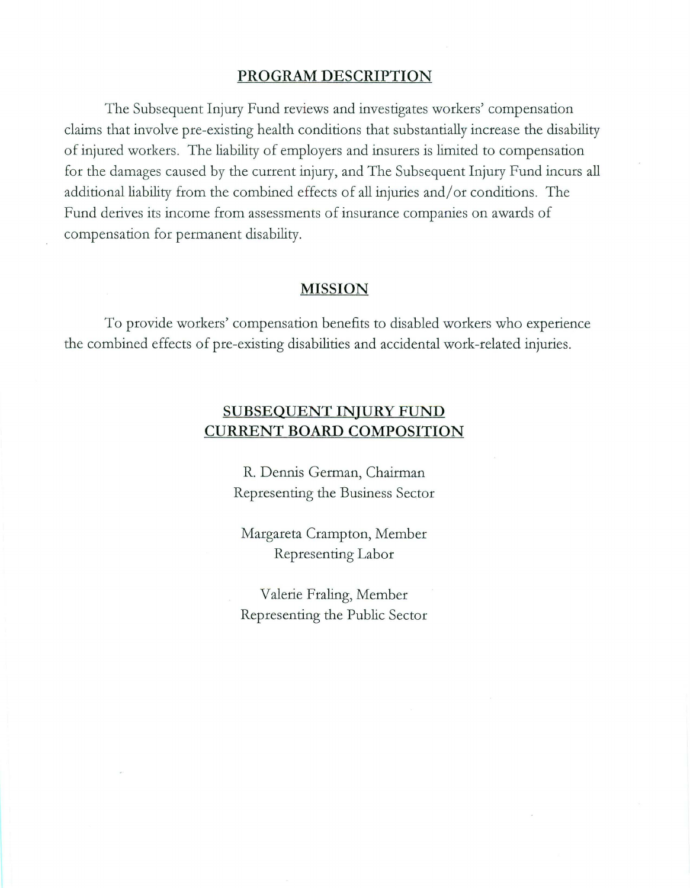#### **PROGRAM DESCRIPTION**

The Subsequent Injury Fund reviews and investigates workers' compensation claims that involve pre-existing health conditions that substantially increase the disability of injured workers. The liability of employers and insurers is limited to compensation for the damages caused by the current injury, and The Subsequent Injury Fund incurs all additional liability from the combined effects of all injuries and/ or conditions. The Fund derives its income from assessments of insurance companies on awards of compensation for permanent disability.

#### **MISSION**

To provide workers' compensation benefits to disabled workers who experience the combined effects of pre-existing disabilities and accidental work-related injuries.

## **SUBSEQUENT INJURY FUND CURRENT BOARD COMPOSITION**

R. Dennis German, Chairman Representing the Business Sector

Margareta Crampton, Member Representing Labor

Valerie Fraling, Member Representing the Public Sector